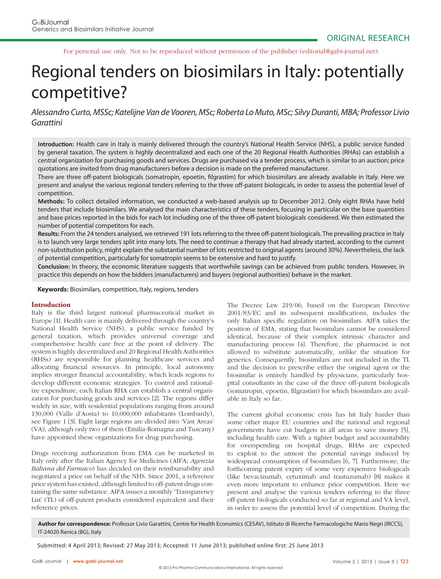For personal use only. Not to be reproduced without permission of the publisher (editorial@gabi-journal.net).

# Regional tenders on biosimilars in Italy: potentially competitive?

Alessandro Curto, MSSc; Katelijne Van de Vooren, MSc; Roberta Lo Muto, MSc; Silvy Duranti, MBA; Professor Livio Garattini

Introduction: Health care in Italy is mainly delivered through the country's National Health Service (NHS), a public service funded by general taxation. The system is highly decentralized and each one of the 20 Regional Health Authorities (RHAs) can establish a central organization for purchasing goods and services. Drugs are purchased via a tender process, which is similar to an auction; price quotations are invited from drug manufacturers before a decision is made on the preferred manufacturer.

There are three off-patent biologicals (somatropin, epoetin, filgrastim) for which biosimilars are already available in Italy. Here we present and analyse the various regional tenders referring to the three off-patent biologicals, in order to assess the potential level of competition.

**Methods:** To collect detailed information, we conducted a web-based analysis up to December 2012. Only eight RHAs have held tenders that include biosimilars. We analysed the main characteristics of these tenders, focusing in particular on the base quantities and base prices reported in the bids for each lot including one of the three off -patent biologicals considered. We then estimated the number of potential competitors for each.

Results: From the 24 tenders analysed, we retrieved 191 lots referring to the three off-patent biologicals. The prevailing practice in Italy is to launch very large tenders split into many lots. The need to continue a therapy that had already started, according to the current non-substitution policy, might explain the substantial number of lots restricted to original agents (around 30%). Nevertheless, the lack of potential competition, particularly for somatropin seems to be extensive and hard to justify.

**Conclusion:** In theory, the economic literature suggests that worthwhile savings can be achieved from public tenders. However, in practice this depends on how the bidders (manufacturers) and buyers (regional authorities) behave in the market.

**Keywords:** Biosimilars, competition, Italy, regions, tenders

#### **Introduction**

Italy is the third largest national pharmaceutical market in Europe [1]. Health care is mainly delivered through the country's National Health Service (NHS), a public service funded by general taxation, which provides universal coverage and comprehensive health care free at the point of delivery. The system is highly decentralized and 20 Regional Health Authorities (RHSs) are responsible for planning healthcare services and allocating financial resources. In principle, local autonomy implies stronger financial accountability, which leads regions to develop different economic strategies. To control and rationalize expenditure, each Italian RHA can establish a central organization for purchasing goods and services [2]. The regions differ widely in size, with residential populations ranging from around 130,000 (Valle d'Aosta) to 10,000,000 inhabitants (Lombardy), see Figure 1 [3]. Eight large regions are divided into 'Vast Areas' (VA), although only two of them (Emilia-Romagna and Tuscany) have appointed these organizations for drug purchasing.

Drugs receiving authorization from EMA can be marketed in Italy only after the Italian Agency for Medicines (AIFA; *Agenzia Italiana del Farmaco*) has decided on their reimbursability and negotiated a price on behalf of the NHS. Since 2001, a reference price system has existed, although limited to off-patent drugs containing the same substance. AIFA issues a monthly 'Transparency List' (TL) of off-patent products considered equivalent and their reference prices.

The Decree Law 219/06, based on the European Directive  $2001/83/EC$  and its subsequent modifications, includes the only Italian specific regulation on biosimilars. AIFA takes the position of EMA, stating that biosimilars cannot be considered identical, because of their complex intrinsic character and manufacturing process [4]. Therefore, the pharmacist is not allowed to substitute automatically, unlike the situation for generics. Consequently, biosimilars are not included in the TL and the decision to prescribe either the original agent or the biosimilar is entirely handled by physicians, particularly hospital consultants in the case of the three off-patent biologicals (somatropin, epoetin, filgrastim) for which biosimilars are available in Italy so far.

The current global economic crisis has hit Italy harder than some other major EU countries and the national and regional governments have cut budgets in all areas to save money [5], including health care. With a tighter budget and accountability for overspending on hospital drugs, RHAs are expected to exploit to the utmost the potential savings induced by widespread consumption of biosimilars [6, 7]. Furthermore, the forthcoming patent expiry of some very expensive biologicals (like bevacizumab, cetuximab and trastuzumab) [8] makes it even more important to enhance price competition. Here we present and analyse the various tenders referring to the three off-patent biologicals conducted so far at regional and VA level, in order to assess the potential level of competition. During the

**Author for correspondence:** Professor Livio Garattini, Centre for Health Economics (CESAV), Istituto di Ricerche Farmacologiche Mario Negri (IRCCS), IT-24020 Ranica (BG), Italy

Submitted: 4 April 2013; Revised: 27 May 2013; Accepted: 11 June 2013; published online first: 25 June 2013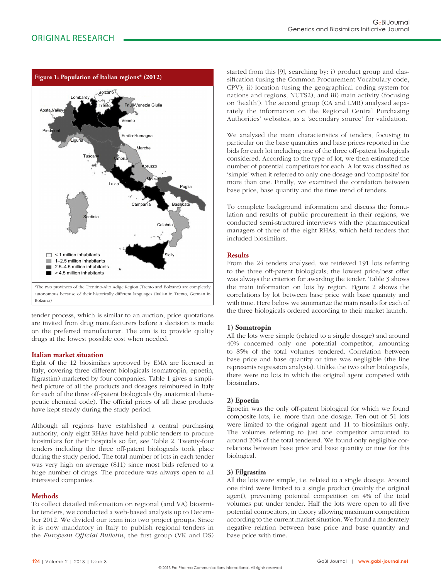

tender process, which is similar to an auction, price quotations are invited from drug manufacturers before a decision is made on the preferred manufacturer. The aim is to provide quality drugs at the lowest possible cost when needed.

## **Italian market situation**

Eight of the 12 biosimilars approved by EMA are licensed in Italy, covering three different biologicals (somatropin, epoetin, filgrastim) marketed by four companies. Table 1 gives a simplified picture of all the products and dosages reimbursed in Italy for each of the three off-patent biologicals (by anatomical therapeutic chemical code). The official prices of all these products have kept steady during the study period.

Although all regions have established a central purchasing authority, only eight RHAs have held public tenders to procure biosimilars for their hospitals so far, see Table 2. Twenty-four tenders including the three off-patent biologicals took place during the study period. The total number of lots in each tender was very high on average (811) since most bids referred to a huge number of drugs. The procedure was always open to all interested companies.

## **Methods**

To collect detailed information on regional (and VA) biosimilar tenders, we conducted a web-based analysis up to December 2012. We divided our team into two project groups. Since it is now mandatory in Italy to publish regional tenders in the *European Official Bulletin*, the first group (VK and DS) started from this [9], searching by: i) product group and classification (using the Common Procurement Vocabulary code, CPV); ii) location (using the geographical coding system for nations and regions, NUTS2); and iii) main activity (focusing on 'health'). The second group (CA and LMR) analysed separately the information on the Regional Central Purchasing Authorities' websites, as a 'secondary source' for validation.

We analysed the main characteristics of tenders, focusing in particular on the base quantities and base prices reported in the bids for each lot including one of the three off-patent biologicals considered. According to the type of lot, we then estimated the number of potential competitors for each. A lot was classified as 'simple' when it referred to only one dosage and 'composite' for more than one. Finally, we examined the correlation between base price, base quantity and the time trend of tenders.

To complete background information and discuss the formulation and results of public procurement in their regions, we conducted semi-structured interviews with the pharmaceutical managers of three of the eight RHAs, which held tenders that included biosimilars.

## **Results**

From the 24 tenders analysed, we retrieved 191 lots referring to the three off-patent biologicals; the lowest price/best offer was always the criterion for awarding the tender. Table 3 shows the main information on lots by region. Figure 2 shows the correlations by lot between base price with base quantity and with time. Here below we summarize the main results for each of the three biologicals ordered according to their market launch.

## **1) Somatropin**

All the lots were simple (related to a single dosage) and around 40% concerned only one potential competitor, amounting to 85% of the total volumes tendered. Correlation between base price and base quantity or time was negligible (the line represents regression analysis). Unlike the two other biologicals, there were no lots in which the original agent competed with biosimilars.

## **2) Epoetin**

Epoetin was the only off-patent biological for which we found composite lots, i.e. more than one dosage. Ten out of 51 lots were limited to the original agent and 11 to biosimilars only. The volumes referring to just one competitor amounted to around 20% of the total tendered. We found only negligible correlations between base price and base quantity or time for this biological.

## **3) Filgrastim**

All the lots were simple, i.e. related to a single dosage. Around one third were limited to a single product (mainly the original agent), preventing potential competition on 4% of the total volumes put under tender. Half the lots were open to all five potential competitors, in theory allowing maximum competition according to the current market situation. We found a moderately negative relation between base price and base quantity and base price with time.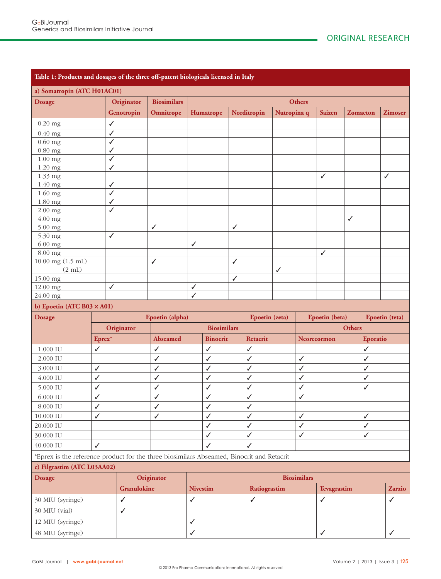| Table 1: Products and dosages of the three off-patent biologicals licensed in Italy       |                   |              |                    |               |                    |                |                    |             |                                  |              |                 |              |                |
|-------------------------------------------------------------------------------------------|-------------------|--------------|--------------------|---------------|--------------------|----------------|--------------------|-------------|----------------------------------|--------------|-----------------|--------------|----------------|
| a) Somatropin (ATC H01AC01)                                                               |                   |              |                    |               |                    |                |                    |             |                                  |              |                 |              |                |
| <b>Dosage</b>                                                                             |                   | Originator   | <b>Biosimilars</b> | <b>Others</b> |                    |                |                    |             |                                  |              |                 |              |                |
|                                                                                           |                   | Genotropin   | Omnitrope          |               | Humatrope          |                | Norditropin        | Nutropina q |                                  | Saizen       | <b>Zomacton</b> |              | <b>Zimoser</b> |
| $0.20$ mg                                                                                 | $\checkmark$      |              |                    |               |                    |                |                    |             |                                  |              |                 |              |                |
| $0.40$ mg                                                                                 | ✓                 |              |                    |               |                    |                |                    |             |                                  |              |                 |              |                |
| $0.60$ mg                                                                                 | $\checkmark$      |              |                    |               |                    |                |                    |             |                                  |              |                 |              |                |
| $0.80$ mg                                                                                 | $\checkmark$      |              |                    |               |                    |                |                    |             |                                  |              |                 |              |                |
| $1.00$ mg                                                                                 | $\checkmark$      |              |                    |               |                    |                |                    |             |                                  |              |                 |              |                |
| $1.20$ mg                                                                                 | ✓                 |              |                    |               |                    |                |                    |             |                                  |              |                 |              |                |
| 1.33 mg                                                                                   |                   |              |                    |               |                    |                |                    |             |                                  | ✓            |                 |              | ✓              |
| 1.40 mg                                                                                   | ✓                 |              |                    |               |                    |                |                    |             |                                  |              |                 |              |                |
| $1.60$ mg                                                                                 | ✓<br>$\checkmark$ |              |                    |               |                    |                |                    |             |                                  |              |                 |              |                |
| 1.80 mg<br>$2.00$ mg                                                                      | $\checkmark$      |              |                    |               |                    |                |                    |             |                                  |              |                 |              |                |
| 4.00 mg                                                                                   |                   |              |                    |               |                    |                |                    |             |                                  |              | $\checkmark$    |              |                |
| 5.00 mg                                                                                   |                   |              | $\checkmark$       |               |                    | $\checkmark$   |                    |             |                                  |              |                 |              |                |
| 5.30 mg                                                                                   | $\checkmark$      |              |                    |               |                    |                |                    |             |                                  |              |                 |              |                |
| $6.00$ mg                                                                                 |                   |              |                    | ✓             |                    |                |                    |             |                                  |              |                 |              |                |
| 8.00 mg                                                                                   |                   |              |                    |               |                    |                |                    |             |                                  | ✓            |                 |              |                |
| $10.00$ mg $(1.5$ mL)                                                                     |                   |              | $\checkmark$       |               |                    | $\checkmark$   |                    |             |                                  |              |                 |              |                |
| $(2 \text{ mL})$                                                                          |                   |              |                    |               |                    |                |                    | ✓           |                                  |              |                 |              |                |
| 15.00 mg                                                                                  |                   |              |                    |               |                    | ✓              |                    |             |                                  |              |                 |              |                |
| 12.00 mg                                                                                  | $\checkmark$      |              | ✓<br>✓             |               |                    |                |                    |             |                                  |              |                 |              |                |
| 24.00 mg                                                                                  |                   |              |                    |               |                    |                |                    |             |                                  |              |                 |              |                |
| b) Epoetin (ATC B03 $\times$ A01)                                                         |                   |              |                    |               |                    |                |                    |             |                                  |              |                 |              |                |
| <b>Dosage</b>                                                                             |                   |              | Epoetin (alpha)    |               |                    | Epoetin (zeta) |                    |             | Epoetin (beta)<br>Epoetin (teta) |              |                 |              |                |
|                                                                                           |                   | Originator   |                    |               | <b>Biosimilars</b> |                |                    |             |                                  |              | <b>Others</b>   |              |                |
|                                                                                           | Eprex*            |              | <b>Abseamed</b>    |               | <b>Binocrit</b>    |                | Retacrit           |             |                                  | Neorecormon  |                 | Eporatio     |                |
| 1.000 IU                                                                                  | $\checkmark$      |              | $\checkmark$       |               | $\checkmark$       |                | $\checkmark$       |             |                                  |              |                 | $\checkmark$ |                |
| 2.000 IU                                                                                  |                   |              | $\checkmark$       |               | $\checkmark$       |                | $\checkmark$       |             | $\checkmark$                     |              |                 | ✓            |                |
| 3.000 IU                                                                                  | ✓                 |              | $\checkmark$       |               | $\checkmark$       |                | $\checkmark$       |             | ✓                                |              |                 | $\checkmark$ |                |
| 4.000 IU                                                                                  | $\checkmark$      |              | ✓                  |               | $\checkmark$       |                | ✓                  |             | ✓                                |              |                 | ✓            |                |
| 5.000 IU                                                                                  | ✓                 |              | $\checkmark$       |               | $\checkmark$       |                | ✓                  |             | ✓                                |              |                 | ✓            |                |
| 6.000 IU                                                                                  | ✓                 |              | $\checkmark$       |               | $\checkmark$       |                | ✓                  |             | ✓                                |              |                 |              |                |
| 8.000 IU                                                                                  | $\checkmark$      |              | $\checkmark$       |               | ✓                  |                | ✓                  |             |                                  |              |                 |              |                |
| 10.000 IU                                                                                 | $\checkmark$      |              | $\checkmark$       |               | $\checkmark$       |                | $\checkmark$       |             | ✓                                |              |                 | ✓            |                |
| 20.000 IU                                                                                 |                   |              |                    |               | $\checkmark$       |                | $\checkmark$       |             | $\checkmark$                     |              |                 | $\checkmark$ |                |
| 30.000 IU                                                                                 |                   |              |                    |               | $\checkmark$       |                | $\checkmark$       |             | $\checkmark$                     |              |                 | $\checkmark$ |                |
| 40.000 IU                                                                                 | $\checkmark$      |              |                    |               | $\checkmark$       |                | ✓                  |             |                                  |              |                 |              |                |
| *Eprex is the reference product for the three biosimilars Abseamed, Binocrit and Retacrit |                   |              |                    |               |                    |                |                    |             |                                  |              |                 |              |                |
| c) Filgrastim (ATC L03AA02)                                                               |                   |              |                    |               |                    |                |                    |             |                                  |              |                 |              |                |
| <b>Dosage</b>                                                                             |                   |              | Originator         |               |                    |                | <b>Biosimilars</b> |             |                                  |              |                 |              |                |
|                                                                                           |                   |              |                    |               | <b>Nivestim</b>    |                | Ratiograstim       |             |                                  | Tevagrastim  |                 |              |                |
|                                                                                           |                   | Granulokine  |                    |               |                    |                |                    |             |                                  |              |                 |              | Zarzio         |
|                                                                                           |                   | ✓            |                    | $\checkmark$  |                    |                | $\checkmark$       |             |                                  | $\checkmark$ |                 |              | $\checkmark$   |
| 30 MIU (syringe)<br>30 MIU (vial)                                                         |                   | $\checkmark$ |                    |               |                    |                |                    |             |                                  |              |                 |              |                |
| 12 MIU (syringe)                                                                          |                   |              |                    | $\checkmark$  |                    |                |                    |             |                                  |              |                 |              |                |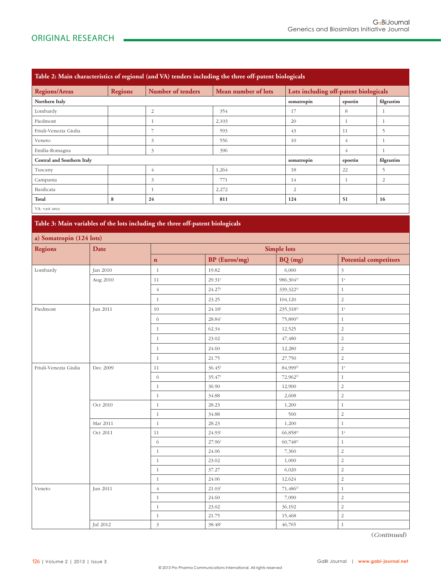| Table 2: Main characteristics of regional (and VA) tenders including the three off-patent biologicals |                |                   |                     |                                       |         |                |  |  |  |  |
|-------------------------------------------------------------------------------------------------------|----------------|-------------------|---------------------|---------------------------------------|---------|----------------|--|--|--|--|
| <b>Regions/Areas</b>                                                                                  | <b>Regions</b> | Number of tenders | Mean number of lots | Lots including off-patent biologicals |         |                |  |  |  |  |
| Northern Italy                                                                                        |                |                   |                     | somatropin                            | epoetin | filgrastim     |  |  |  |  |
| Lombardy                                                                                              |                | $\overline{2}$    | 354                 | 17                                    | 8       |                |  |  |  |  |
| Piedmont                                                                                              |                |                   | 2,103               | 20                                    | 1       |                |  |  |  |  |
| Friuli-Venezia Giulia                                                                                 |                | 7                 | 593                 | 43                                    | 11      | $\sim$         |  |  |  |  |
| Veneto                                                                                                |                | 3                 | 556                 | 10                                    | 4       | 1              |  |  |  |  |
| Emilia-Romagna                                                                                        |                | 3                 | 396                 |                                       | 4       |                |  |  |  |  |
| <b>Central and Southern Italy</b>                                                                     |                |                   |                     | somatropin                            | epoetin | filgrastim     |  |  |  |  |
| Tuscany                                                                                               |                | 4                 | 1,264               | 18                                    | 22      | 5              |  |  |  |  |
| Campania                                                                                              |                | 3                 | 771                 | 14                                    | 1       | $\overline{2}$ |  |  |  |  |
| Basilicata                                                                                            |                |                   | 2,272               | 2                                     |         |                |  |  |  |  |
| Total                                                                                                 | 8              | 24                | 811                 | 124                                   | 51      | 16             |  |  |  |  |
| MA . voor aron                                                                                        |                |                   |                     |                                       |         |                |  |  |  |  |

VA: vast area

**Table 3: Main variables of the lots including the three off-patent biologicals**

| a) Somatropin (124 lots)<br><b>Regions</b> |          |                |                      |                                  |                              |  |  |  |
|--------------------------------------------|----------|----------------|----------------------|----------------------------------|------------------------------|--|--|--|
|                                            | Date     |                |                      | <b>Simple lots</b>               |                              |  |  |  |
|                                            |          | $\mathbf n$    | <b>BP</b> (Euros/mg) | BQ (mg)                          | <b>Potential competitors</b> |  |  |  |
| Lombardy                                   | Jan 2010 | $\mathbf{1}$   | 19.82                | 6,000                            | $\mathfrak{Z}$               |  |  |  |
|                                            | Aug 2010 | 11             | $29.31^+$            | 986,304#                         | $1^{\mathrm{a}}$             |  |  |  |
|                                            |          | $\overline{4}$ | $24.27^{\dagger}$    | 339,322 <sup>tt</sup>            | $\,1\,$                      |  |  |  |
|                                            |          | $\mathbf{1}$   | 23.25                | 104,120                          | $\sqrt{2}$                   |  |  |  |
| Piedmont                                   | Jun 2011 | $10\,$         | $24.18^\dagger$      | 235,318 <sup>tt</sup>            | $1^{\rm a}$                  |  |  |  |
|                                            |          | 6              | $28.84^{\dagger}$    | 75,890 <sup>#</sup>              | $\,1$                        |  |  |  |
|                                            |          | $\mathbf{1}$   | 62.34                | 12,525                           | $\sqrt{2}$                   |  |  |  |
|                                            |          | $\mathbf{1}$   | 23.02                | 47,480                           | $\sqrt{2}$                   |  |  |  |
|                                            |          | $\mathbf{1}$   | 24.60                | 12,280                           | $\sqrt{2}$                   |  |  |  |
|                                            |          | $\mathbf{1}$   | 21.75                | 27,750                           | $\sqrt{2}$                   |  |  |  |
| Friuli-Venezia Giulia                      | Dec 2009 | $11\,$         | $36.45^{\dagger}$    | 84,999#                          | $1^{\rm a}$                  |  |  |  |
|                                            |          | 6              | 35.47 <sup>t</sup>   | 72,962 <sup>#†</sup>             | $\,1\,$                      |  |  |  |
|                                            |          | $\mathbf{1}$   | 36.90                | 12,900                           | $\sqrt{2}$                   |  |  |  |
|                                            |          | $\mathbf{1}$   | 34.88                | 2,608                            | $\sqrt{2}$                   |  |  |  |
|                                            | Oct 2010 | $\mathbf{1}$   | 28.23                | 1,200                            | $1\,$                        |  |  |  |
|                                            |          | $\mathbf{1}$   | 34.88                | 500                              | $\overline{2}$               |  |  |  |
|                                            | Mar 2011 | $\mathbf{1}$   | 28.23                | 1,200                            | $1\,$                        |  |  |  |
|                                            | Oct 2011 | 11             | $24.93^{\dagger}$    | 66,858 <sup>#†</sup>             | $1^{\mathrm{a}}$             |  |  |  |
|                                            |          | $\sqrt{6}$     | 27.96 <sup>t</sup>   | 60,748 <sup><math>#</math></sup> | $\,1\,$                      |  |  |  |
|                                            |          | $\mathbf{1}$   | 24.06                | 7,360                            | $\sqrt{2}$                   |  |  |  |
|                                            |          | $\mathbf{1}$   | 23.02                | 1,000                            | $\sqrt{2}$                   |  |  |  |
|                                            |          | $\mathbf{1}$   | 37.27                | 6,020                            | $\sqrt{2}$                   |  |  |  |
|                                            |          | $\mathbf{1}$   | 24.06                | 12,624                           | $\sqrt{2}$                   |  |  |  |
| Veneto                                     | Jun 2011 | $\sqrt{4}$     | $21.03^\dagger$      | 71,486#                          | $\mathbf{1}$                 |  |  |  |
|                                            |          | $\mathbf{1}$   | 24.60                | 7,090                            | $\sqrt{2}$                   |  |  |  |
|                                            |          | $\mathbf{1}$   | 23.02                | 36,192                           | $\sqrt{2}$                   |  |  |  |
|                                            |          | $\mathbf{1}$   | 21.75                | 15,468                           | $\sqrt{2}$                   |  |  |  |
|                                            | Jul 2012 | $\mathfrak{Z}$ | $38.48^{\dagger}$    | 46,765                           | $\mathbf{1}$                 |  |  |  |

(*Continued*)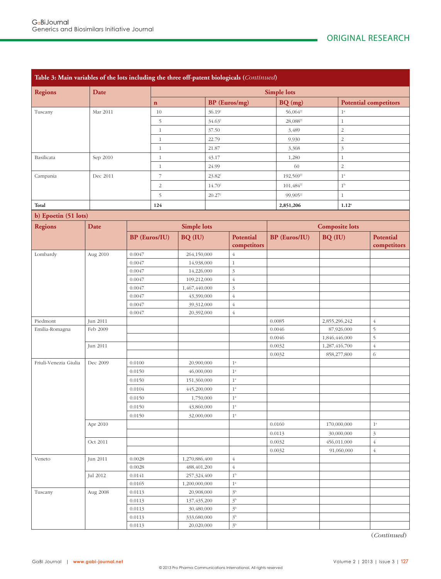| Table 3: Main variables of the lots including the three off-patent biologicals (Continued) |          |                  |                          |                             |                      |                               |                      |                                       |               |                              |                             |  |
|--------------------------------------------------------------------------------------------|----------|------------------|--------------------------|-----------------------------|----------------------|-------------------------------|----------------------|---------------------------------------|---------------|------------------------------|-----------------------------|--|
| <b>Regions</b>                                                                             | Date     |                  |                          | <b>Simple lots</b>          |                      |                               |                      |                                       |               |                              |                             |  |
|                                                                                            |          |                  | $\mathbf n$              |                             | <b>BP</b> (Euros/mg) |                               |                      | BQ (mg)                               |               | <b>Potential competitors</b> |                             |  |
| Tuscany<br>Mar 2011                                                                        |          |                  | 10                       |                             | $36.19^{\dagger}$    |                               |                      | 56,064#                               |               | $1^{\rm a}$                  |                             |  |
|                                                                                            |          |                  | 5                        |                             | $34.63^{\dagger}$    |                               |                      | 28,088 <sup><math>\sharp</math></sup> |               | $1\,$                        |                             |  |
|                                                                                            |          |                  | $\mathbf{1}$             |                             | 37.50                |                               |                      | 3,489                                 |               | $\sqrt{2}$                   |                             |  |
|                                                                                            |          |                  | $\mathbf{1}$             |                             | 22.79                |                               |                      | 9,930                                 |               | $\overline{2}$               |                             |  |
|                                                                                            |          |                  | $\mathbf{1}$             |                             | 21.87                |                               |                      | 3,368                                 |               | $\mathfrak{Z}$               |                             |  |
| Basilicata                                                                                 | Sep 2010 |                  | $\mathbf{1}$             |                             | 43.17                |                               |                      | 1,280                                 |               | $\mathbf{1}$                 |                             |  |
|                                                                                            |          |                  |                          | $1\,$                       |                      | 24.99                         |                      | 60                                    |               | $\sqrt{2}$                   |                             |  |
| Campania                                                                                   | Dec 2011 |                  | $\overline{\phantom{a}}$ |                             | 23.82 <sup>t</sup>   |                               |                      | 192,569 <sup>tt</sup>                 |               | $1^{\rm a}$                  |                             |  |
|                                                                                            |          |                  | $\sqrt{2}$               |                             | 14.70                |                               |                      | 101,484#                              |               | 1 <sup>b</sup>               |                             |  |
|                                                                                            |          |                  |                          |                             |                      |                               |                      |                                       |               |                              |                             |  |
|                                                                                            |          |                  | 5                        |                             | $20.27^{\dagger}$    |                               |                      | 99,905 <sup>tt</sup>                  |               | $1\,$                        |                             |  |
| Total                                                                                      |          |                  | 124                      |                             |                      |                               |                      | 2,851,206                             |               | 1.12 <sup>c</sup>            |                             |  |
| b) Epoetin (51 lots)                                                                       |          |                  |                          |                             |                      |                               |                      |                                       |               |                              |                             |  |
| <b>Regions</b>                                                                             | Date     |                  |                          | <b>Simple lots</b>          |                      |                               |                      |                                       |               | <b>Composite lots</b>        |                             |  |
|                                                                                            |          |                  | <b>BP</b> (Euros/IU)     |                             | BQ (IU)              | Potential<br>competitors      | <b>BP</b> (Euros/IU) |                                       | BQ (IU)       |                              | Potential<br>competitors    |  |
| Lombardy                                                                                   | Aug 2010 | 0.0047           |                          | 264,150,000                 |                      | $\overline{4}$                |                      |                                       |               |                              |                             |  |
|                                                                                            | 0.0047   |                  |                          | 14,938,000                  |                      | $1\,$                         |                      |                                       |               |                              |                             |  |
|                                                                                            |          | 0.0047           |                          |                             | 14,226,000           | $\mathfrak{Z}$                |                      |                                       |               |                              |                             |  |
|                                                                                            | 0.0047   |                  | 109,212,000              |                             |                      | $\overline{4}$                |                      |                                       |               |                              |                             |  |
|                                                                                            |          | 0.0047           | 1,467,440,000            |                             |                      | $\overline{3}$                |                      |                                       |               |                              |                             |  |
|                                                                                            |          | 0.0047           |                          | 43,390,000                  |                      | $\overline{4}$                |                      |                                       |               |                              |                             |  |
|                                                                                            |          | 0.0047           |                          |                             | 39,312,000           | $\sqrt{4}$                    |                      |                                       |               |                              |                             |  |
|                                                                                            |          |                  | 0.0047                   |                             | 20,392,000           | $\sqrt{4}$                    |                      |                                       |               |                              |                             |  |
| Piedmont                                                                                   | Jun 2011 |                  |                          |                             |                      |                               | 0.0085               |                                       | 2,855,296,242 |                              | $\overline{4}$              |  |
| Emilia-Romagna                                                                             | Feb 2009 |                  |                          |                             |                      |                               | 0.0046<br>0.0046     |                                       | 1,846,446,000 | 87,926,000                   | 5<br>$\mathfrak s$          |  |
|                                                                                            | Jun 2011 |                  |                          |                             |                      |                               | 0.0032               |                                       | 1,287,416,700 |                              | $\sqrt{4}$                  |  |
|                                                                                            |          |                  |                          |                             |                      |                               | 0.0032               |                                       |               | 858,277,800                  | 6                           |  |
| Friuli-Venezia Giulia                                                                      | Dec 2009 | 0.0100           |                          |                             | 20,900,000           | $1^{\rm a}$                   |                      |                                       |               |                              |                             |  |
|                                                                                            |          | 0.0150           |                          |                             | 46,000,000           | $1^{\rm a}$                   |                      |                                       |               |                              |                             |  |
|                                                                                            |          | 0.0150           |                          | 151,360,000                 |                      | $1^{\rm a}$                   |                      |                                       |               |                              |                             |  |
|                                                                                            |          | 0.0104           |                          | 445,200,000                 |                      | $1^{\rm a}$                   |                      |                                       |               |                              |                             |  |
|                                                                                            |          | 0.0150           |                          | 1,750,000                   |                      | $1^{\rm a}$                   |                      |                                       |               |                              |                             |  |
|                                                                                            |          | 0.0150           |                          | 43,860,000                  |                      | $1^{\rm a}$                   |                      |                                       |               |                              |                             |  |
|                                                                                            |          | 0.0150           |                          | 32,000,000                  |                      | $1^{\rm a}$                   |                      |                                       |               |                              |                             |  |
|                                                                                            | Apr 2010 |                  |                          |                             |                      |                               |                      | 0.0160                                |               | 170,000,000                  | $1^{\rm a}$                 |  |
|                                                                                            |          |                  |                          |                             |                      |                               |                      | 0.0113                                |               | 30,000,000                   | $\ensuremath{\mathfrak{Z}}$ |  |
|                                                                                            | Oct 2011 |                  |                          |                             |                      |                               | 0.0032               |                                       |               | 456,011,000                  | $\sqrt{4}$                  |  |
|                                                                                            |          |                  |                          |                             |                      |                               | 0.0032               |                                       | 91,060,000    |                              | $\sqrt{4}$                  |  |
| Veneto                                                                                     | Jun 2011 | 0.0028           |                          | 1,270,886,400               |                      | $\overline{4}$                |                      |                                       |               |                              |                             |  |
|                                                                                            |          | 0.0028           |                          | 488,401,200                 |                      | $\overline{4}$                |                      |                                       |               |                              |                             |  |
|                                                                                            | Jul 2012 | 0.0141           |                          | 257,324,400                 |                      | $1^{\rm b}$                   |                      |                                       |               |                              |                             |  |
|                                                                                            |          | 0.0165           |                          | 1,200,000,000               |                      | $1^{\rm a}$<br>3 <sup>b</sup> |                      |                                       |               |                              |                             |  |
| Tuscany                                                                                    | Aug 2008 | 0.0113<br>0.0113 |                          | 20,908,000<br>137, 435, 200 |                      | 3 <sup>b</sup>                |                      |                                       |               |                              |                             |  |
|                                                                                            |          | 0.0113           |                          | 30,480,000                  |                      | 3 <sup>b</sup>                |                      |                                       |               |                              |                             |  |
|                                                                                            |          | 0.0113           |                          | 333,680,000                 |                      | $3^{\rm b}$                   |                      |                                       |               |                              |                             |  |
|                                                                                            |          | 0.0113           |                          | 20,020,000                  |                      | $3^{\rm b}$                   |                      |                                       |               |                              |                             |  |

(*Continued*)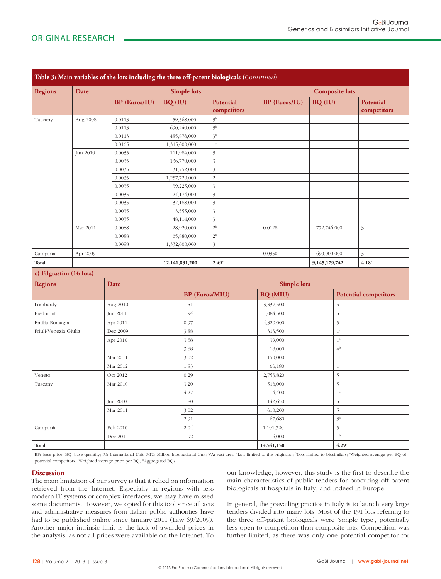|                         |          | Table 3: Main variables of the lots including the three off-patent biologicals (Continued)                                                                                                            |                          |                         |                                  |                      |                  |                   |                                 |  |
|-------------------------|----------|-------------------------------------------------------------------------------------------------------------------------------------------------------------------------------------------------------|--------------------------|-------------------------|----------------------------------|----------------------|------------------|-------------------|---------------------------------|--|
| <b>Regions</b><br>Date  |          |                                                                                                                                                                                                       |                          | <b>Composite lots</b>   |                                  |                      |                  |                   |                                 |  |
|                         |          | <b>BP</b> (Euros/IU)                                                                                                                                                                                  | BQ (IU)                  | <b>Simple lots</b>      | <b>Potential</b><br>competitors  | <b>BP</b> (Euros/IU) | BQ (IU)          |                   | <b>Potential</b><br>competitors |  |
| Tuscany<br>Aug 2008     |          | 0.0113                                                                                                                                                                                                |                          | 59,568,000              | 3 <sup>b</sup>                   |                      |                  |                   |                                 |  |
|                         |          | 0.0113                                                                                                                                                                                                | 690,240,000              |                         | 3 <sup>b</sup>                   |                      |                  |                   |                                 |  |
|                         |          | 0.0113                                                                                                                                                                                                | 485,876,000              |                         | 3 <sup>b</sup>                   |                      |                  |                   |                                 |  |
|                         |          | 0.0165                                                                                                                                                                                                |                          | 1,315,600,000           | $1^{\rm a}$                      |                      |                  |                   |                                 |  |
|                         | Jun 2010 | 0.0035                                                                                                                                                                                                |                          | 111,984,000             | $\mathfrak{Z}$                   |                      |                  |                   |                                 |  |
|                         |          | 0.0035                                                                                                                                                                                                |                          | 136,770,000             | $\mathfrak{Z}$                   |                      |                  |                   |                                 |  |
|                         |          | 0.0035                                                                                                                                                                                                |                          | 31,752,000              | $\mathfrak{Z}$                   |                      |                  |                   |                                 |  |
|                         |          | 0.0035                                                                                                                                                                                                |                          | 1,257,720,000           | $\overline{2}$                   |                      |                  |                   |                                 |  |
|                         |          | 0.0035                                                                                                                                                                                                |                          | 39,225,000              | $\mathfrak{Z}$                   |                      |                  |                   |                                 |  |
|                         |          |                                                                                                                                                                                                       | 0.0035<br>24,174,000     |                         | $\mathfrak{Z}$                   |                      |                  |                   |                                 |  |
|                         |          | 0.0035                                                                                                                                                                                                |                          | 37,188,000              | $\mathfrak{Z}$                   |                      |                  |                   |                                 |  |
|                         |          | 0.0035<br>0.0035                                                                                                                                                                                      |                          | 3,555,000<br>48,114,000 | $\mathfrak{Z}$<br>$\overline{3}$ |                      |                  |                   |                                 |  |
|                         | Mar 2011 | 0.0088                                                                                                                                                                                                |                          |                         | 2 <sup>b</sup>                   | 0.0128               | 772,746,000      |                   | $\mathfrak{Z}$                  |  |
|                         |          | 0.0088                                                                                                                                                                                                | 28,920,000<br>65,880,000 |                         | $2^{\rm b}$                      |                      |                  |                   |                                 |  |
|                         |          | 0.0088                                                                                                                                                                                                |                          | 1,332,000,000           | $\mathfrak{Z}$                   |                      |                  |                   |                                 |  |
| Campania                | Apr 2009 |                                                                                                                                                                                                       |                          |                         |                                  | 0.0350               |                  | 690,000,000<br>3  |                                 |  |
| Total                   |          |                                                                                                                                                                                                       |                          |                         | 2.49°                            |                      | 9,145,179,742    |                   | $4.18$ c                        |  |
| c) Filgrastim (16 lots) |          |                                                                                                                                                                                                       |                          | 12,141,831,200          |                                  |                      |                  |                   |                                 |  |
| <b>Regions</b>          |          | Date                                                                                                                                                                                                  |                          |                         |                                  | <b>Simple lots</b>   |                  |                   |                                 |  |
|                         |          |                                                                                                                                                                                                       |                          |                         | <b>BP</b> (Euros/MIU)            | BQ (MIU)             |                  |                   | <b>Potential competitors</b>    |  |
| Lombardy                |          | Aug 2010                                                                                                                                                                                              |                          | 1.51                    |                                  | 3,337,500            |                  | 5                 |                                 |  |
| Piedmont                |          | Jun 2011                                                                                                                                                                                              |                          | 1.94                    |                                  | 1,084,500            |                  | 5                 |                                 |  |
| Emilia-Romagna          |          | Apr 2011                                                                                                                                                                                              |                          | 0.97                    |                                  | 4,320,000            |                  | 5                 |                                 |  |
| Friuli-Venezia Giulia   |          | Dec 2009                                                                                                                                                                                              |                          | 3.88                    |                                  | 313,500              |                  | $1^a$             |                                 |  |
|                         |          | Apr 2010                                                                                                                                                                                              |                          | 3.88                    |                                  | 39,000               |                  | $1^a$             |                                 |  |
|                         |          |                                                                                                                                                                                                       |                          | 3.88                    |                                  | 18,000               |                  | $4^{\rm b}$       |                                 |  |
|                         |          | Mar 2011                                                                                                                                                                                              |                          | 3.02                    |                                  | 150,000              |                  | 1 <sup>a</sup>    |                                 |  |
|                         |          | Mar 2012                                                                                                                                                                                              |                          | 1.83                    |                                  | 66,180               |                  | $1^a$             |                                 |  |
| Veneto                  |          | Oct 2012                                                                                                                                                                                              | 0.29                     |                         |                                  | 2,753,820            |                  | 5                 |                                 |  |
| Tuscany                 |          | Mar 2010                                                                                                                                                                                              |                          | 3.20                    |                                  | 516,000              |                  | 5                 |                                 |  |
|                         |          |                                                                                                                                                                                                       |                          | 4.27                    |                                  | 14,400               | $1^{\mathrm{a}}$ |                   |                                 |  |
|                         |          | Jun 2010                                                                                                                                                                                              |                          | $1.80\,$                |                                  | 142,650              |                  | $\overline{5}$    |                                 |  |
|                         |          | Mar 2011                                                                                                                                                                                              |                          | 3.02                    |                                  | 610,200              |                  | 5                 |                                 |  |
|                         |          |                                                                                                                                                                                                       |                          | 2.91                    |                                  | 67,680               | 3 <sup>b</sup>   |                   |                                 |  |
| Campania                |          | Feb 2010                                                                                                                                                                                              |                          | 2.04                    |                                  | 1,101,720            |                  | 5                 |                                 |  |
|                         |          | Dec 2011                                                                                                                                                                                              |                          | 1.92                    |                                  | 6,000                |                  | $1^{\rm b}$       |                                 |  |
| Total                   |          |                                                                                                                                                                                                       |                          |                         |                                  | 14,541,150           |                  | 4.29 <sup>c</sup> |                                 |  |
|                         |          | BP: base price; BQ: base quantity; IU: International Unit; MIU: Million International Unit; VA: vast area. aLots limited to the originator; bLots limited to biosimilars; 'Weighted average per BQ of |                          |                         |                                  |                      |                  |                   |                                 |  |
|                         |          | potential competitors. Weighted average price per BQ; #Aggregated BQs.                                                                                                                                |                          |                         |                                  |                      |                  |                   |                                 |  |

## **Discussion**

The main limitation of our survey is that it relied on information retrieved from the Internet. Especially in regions with less modern IT systems or complex interfaces, we may have missed some documents. However, we opted for this tool since all acts and administrative measures from Italian public authorities have had to be published online since January 2011 (Law 69/2009). Another major intrinsic limit is the lack of awarded prices in the analysis, as not all prices were available on the Internet. To our knowledge, however, this study is the first to describe the main characteristics of public tenders for procuring off-patent biologicals at hospitals in Italy, and indeed in Europe.

In general, the prevailing practice in Italy is to launch very large tenders divided into many lots. Most of the 191 lots referring to the three off-patent biologicals were 'simple type', potentially less open to competition than composite lots. Competition was further limited, as there was only one potential competitor for